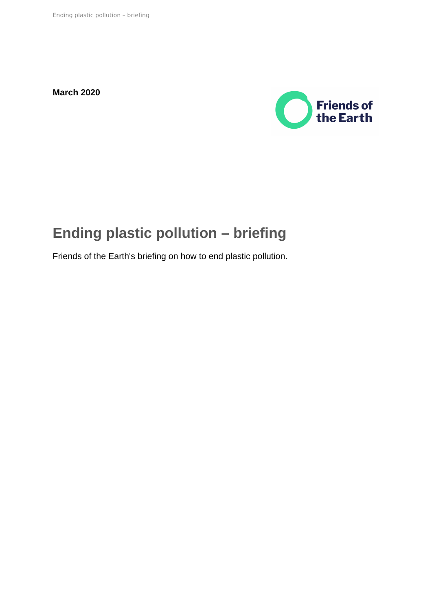**March 2020**



# **Ending plastic pollution – briefing**

Friends of the Earth's briefing on how to end plastic pollution.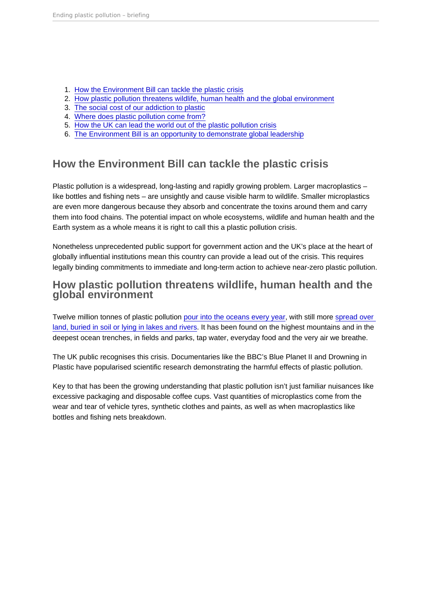- 1. How the Environment Bill can tackle the plastic crisis
- 2. How plastic pollution threatens wildlife, human health and the global environment
- 3. [The social cost of our addiction to plastic](#page-4-0)
- 4. [Where does plastic pollution come from?](#page-4-0)
- 5. [How the UK can lead the world out of the plastic pollution crisis](#page-5-0)
- 6. [The Environment Bill is an opportunity to demonstrate global leadership](#page-6-0)

## How the Environment Bill can tackle the plastic crisis

Plastic pollution is a widespread, long-lasting and rapidly growing problem. Larger macroplastics – like bottles and fishing nets – are unsightly and cause visible harm to wildlife. Smaller microplastics are even more dangerous because they absorb and concentrate the toxins around them and carry them into food chains. The potential impact on whole ecosystems, wildlife and human health and the Earth system as a whole means it is right to call this a plastic pollution crisis.

Nonetheless unprecedented public support for government action and the UK's place at the heart of globally influential institutions mean this country can provide a lead out of the crisis. This requires legally binding commitments to immediate and long-term action to achieve near-zero plastic pollution.

#### How plastic pollution threatens wildlife, human health and the global environment

Twelve million tonnes of plastic pollution [pour into the oceans every year](http://www.eunomia.co.uk/reports-tools/plastics-in-the-marine-environment/), with still more [spread over](https://www.nature.com/articles/537488b)  [land, buried in soil or lying in lakes and rivers.](https://www.nature.com/articles/537488b) It has been found on the highest mountains and in the deepest ocean trenches, in fields and parks, tap water, everyday food and the very air we breathe.

The UK public recognises this crisis. Documentaries like the BBC's Blue Planet II and Drowning in Plastic have popularised scientific research demonstrating the harmful effects of plastic pollution.

Key to that has been the growing understanding that plastic pollution isn't just familiar nuisances like excessive packaging and disposable coffee cups. Vast quantities of microplastics come from the wear and tear of vehicle tyres, synthetic clothes and paints, as well as when macroplastics like bottles and fishing nets breakdown.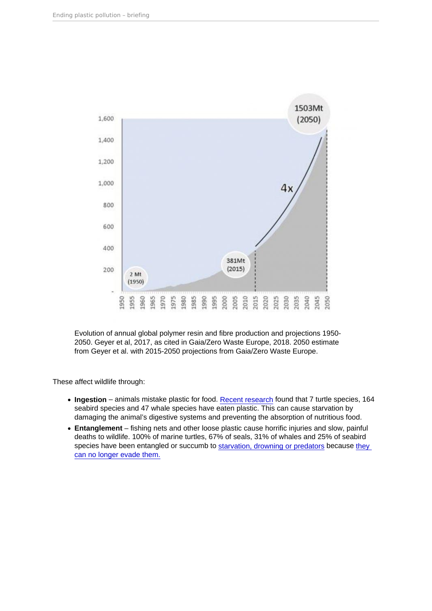Evolution of annual global polymer resin and fibre production and projections 1950- 2050. Geyer et al, 2017, as cited in Gaia/Zero Waste Europe, 2018. 2050 estimate from Geyer et al. with 2015-2050 projections from Gaia/Zero Waste Europe.

These affect wildlife through:

- Ingestion animals mistake plastic for food. [Recent research](https://link.springer.com/chapter/10.1007/978-3-319-16510-3_4) found that 7 turtle species, 164 seabird species and 47 whale species have eaten plastic. This can cause starvation by damaging the animal's digestive systems and preventing the absorption of nutritious food.
- Entanglement fishing nets and other loose plastic cause horrific injuries and slow, painful deaths to wildlife. 100% of marine turtles, 67% of seals, 31% of whales and 25% of seabird species have been entangled or succumb to [starvation, drowning or predators](http://www.eunomia.co.uk/reports-tools/plastics-in-the-marine-environment/) because they [can no longer evade them.](https://link.springer.com/chapter/10.1007/978-1-4613-8486-1_10)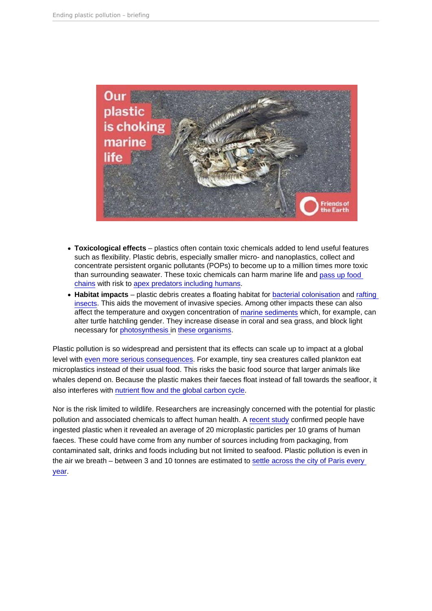- Toxicological effects plastics often contain toxic chemicals added to lend useful features such as flexibility. Plastic debris, especially smaller micro- and nanoplastics, collect and concentrate persistent organic pollutants (POPs) to become up to a million times more toxic than surrounding seawater. These toxic chemicals can harm marine life and [pass up food](https://www.ncbi.nlm.nih.gov/pmc/articles/PMC2873017/)  [chains](https://www.ncbi.nlm.nih.gov/pmc/articles/PMC2873017/) with risk to [apex predators including humans.](https://www.ncbi.nlm.nih.gov/pubmed/21719036)
- Habitat impacts plastic debris creates a floating habitat for [bacterial colonisation](https://www.ncbi.nlm.nih.gov/pubmed/23993070) and rafting [insects.](https://escholarship.org/uc/item/6xf4w8b6) This aids the movement of invasive species. Among other impacts these can also affect the temperature and oxygen concentration of [marine sediments](https://www.ncbi.nlm.nih.gov/pubmed/21700298) which, for example, can alter turtle hatchling gender. They increase disease in coral and sea grass, and block light necessary for [photosynthesis i](http://science.sciencemag.org/content/359/6374/460)n [these organisms.](https://www.blastic.eu/knowledge-bank/impacts/smothering/ ; https://www.int-res.com/articles/meps/127/m127p279.pdf 12 https://www.sciencedirect.com/science/)

Plastic pollution is so widespread and persistent that its effects can scale up to impact at a global level with [even more serious consequences](https://www.sciencedirect.com/science/article/pii/S0308597X17305456#pf6). For example, tiny sea creatures called plankton eat microplastics instead of their usual food. This risks the basic food source that larger animals like whales depend on. Because the plastic makes their faeces float instead of fall towards the seafloor, it also interferes with [nutrient flow and the global carbon cycle](https://www.ncbi.nlm.nih.gov/pubmed/26905979).

Nor is the risk limited to wildlife. Researchers are increasingly concerned with the potential for plastic pollution and associated chemicals to affect human health. A [recent study](https://www.eurekalert.org/pub_releases/2018-10/sh-mdi101518.php) confirmed people have ingested plastic when it revealed an average of 20 microplastic particles per 10 grams of human faeces. These could have come from any number of sources including from packaging, from contaminated salt, drinks and foods including but not limited to seafood. Plastic pollution is even in the air we breath – between 3 and 10 tonnes are estimated to [settle across the city of Paris every](https://hal-enpc.archives-ouvertes.fr/hal-01150549v1)  [year](https://hal-enpc.archives-ouvertes.fr/hal-01150549v1).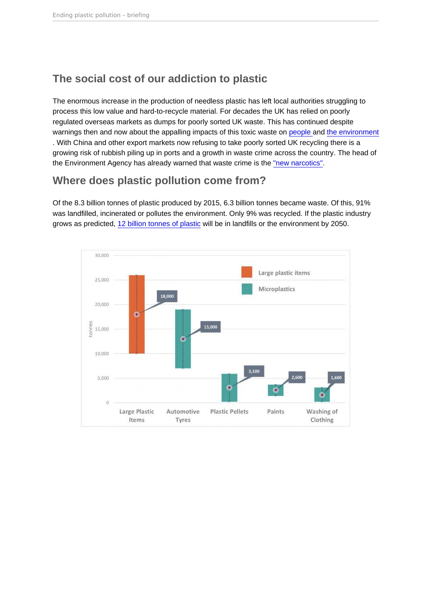# <span id="page-4-0"></span>The social cost of our addiction to plastic

The enormous increase in the production of needless plastic has left local authorities struggling to process this low value and hard-to-recycle material. For decades the UK has relied on poorly regulated overseas markets as dumps for poorly sorted UK waste. This has continued despite warnings then and now about the appalling impacts of this toxic waste on [people](https://www.theguardian.com/society/2004/sep/20/environment.china) and [the environment](https://www.theguardian.com/environment/2018/jul/23/uks-plastic-waste-may-be-dumped-overseas-instead-of-recycled) . With China and other export markets now refusing to take poorly sorted UK recycling there is a growing risk of rubbish piling up in ports and a growth in waste crime across the country. The head of the Environment Agency has already warned that waste crime is the ["new narcotics".](https://www.theguardian.com/environment/2016/sep/22/ea-chief-waste-is-the-new-narcotics)

#### Where does plastic pollution come from?

Of the 8.3 billion tonnes of plastic produced by 2015, 6.3 billion tonnes became waste. Of this, 91% was landfilled, incinerated or pollutes the environment. Only 9% was recycled. If the plastic industry grows as predicted, [12 billion tonnes of plastic](https://www.ncbi.nlm.nih.gov/pmc/articles/PMC5517107/) will be in landfills or the environment by 2050.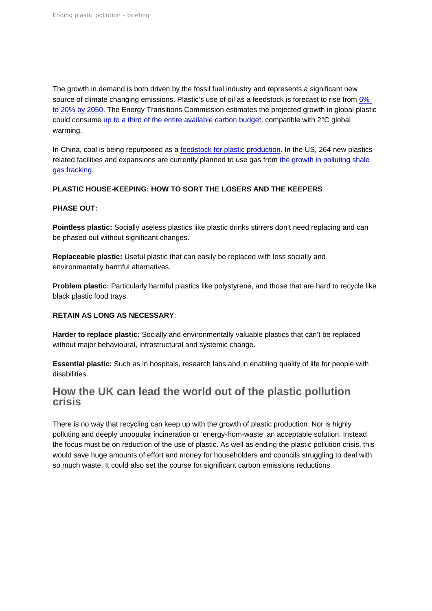<span id="page-5-0"></span>The growth in demand is both driven by the fossil fuel industry and represents a significant new source of climate changing emissions. Plastic's use of oil as a feedstock is forecast to rise from 6% [to 20% by 2050](https://www.weforum.org/reports/the-new-plastics-economy-rethinking-the-future-of-plastics). The Energy Transitions Commission estimates the projected growth in global plastic could consume [up to a third of the entire available carbon budget](http://www.energy-transitions.org/sites/default/files/ETC_MissionPossible_FullReport.pdf), compatible with 2°C global warming.

In China, coal is being repurposed as a [feedstock for plastic production.](https://www.processingmagazine.com/news-notes/article/15586696/honeywell-builds-chinese-facility-to-convert-coal-to-plastics) In the US, 264 new plasticsrelated facilities and expansions are currently planned to use gas from [the growth in polluting shale](http://www.ciel.org/wp-content/uploads/2017/09/Fueling-Plastics-How-Fracked-Gas-Cheap-Oil-and-Unburnable-Coal-are-Driving-the-Plastics-Boom.pdf)  [gas fracking.](http://www.ciel.org/wp-content/uploads/2017/09/Fueling-Plastics-How-Fracked-Gas-Cheap-Oil-and-Unburnable-Coal-are-Driving-the-Plastics-Boom.pdf)

PLASTIC HOUSE-KEEPING: HOW TO SORT THE LOSERS AND THE KEEPERS

PHASE OUT:

Pointless plastic: Socially useless plastics like plastic drinks stirrers don't need replacing and can be phased out without significant changes.

Replaceable plastic: Useful plastic that can easily be replaced with less socially and environmentally harmful alternatives.

Problem plastic: Particularly harmful plastics like polystyrene, and those that are hard to recycle like black plastic food trays.

#### RETAIN AS LONG AS NECESSARY :

Harder to replace plastic: Socially and environmentally valuable plastics that can't be replaced without major behavioural, infrastructural and systemic change.

Essential plastic: Such as in hospitals, research labs and in enabling quality of life for people with disabilities.

#### How the UK can lead the world out of the plastic pollution crisis

There is no way that recycling can keep up with the growth of plastic production. Nor is highly polluting and deeply unpopular incineration or 'energy-from-waste' an acceptable solution. Instead the focus must be on reduction of the use of plastic. As well as ending the plastic pollution crisis, this would save huge amounts of effort and money for householders and councils struggling to deal with so much waste. It could also set the course for significant carbon emissions reductions.